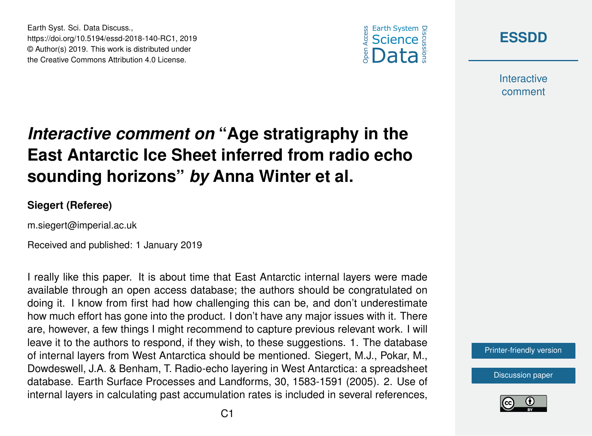



**Interactive** comment

## *Interactive comment on* **"Age stratigraphy in the East Antarctic Ice Sheet inferred from radio echo sounding horizons"** *by* **Anna Winter et al.**

## **Siegert (Referee)**

m.siegert@imperial.ac.uk

Earth Syst. Sci. Data Discuss.,

https://doi.org/10.5194/essd-2018-140-RC1, 2019 © Author(s) 2019. This work is distributed under the Creative Commons Attribution 4.0 License.

Received and published: 1 January 2019

I really like this paper. It is about time that East Antarctic internal layers were made available through an open access database; the authors should be congratulated on doing it. I know from first had how challenging this can be, and don't underestimate how much effort has gone into the product. I don't have any major issues with it. There are, however, a few things I might recommend to capture previous relevant work. I will leave it to the authors to respond, if they wish, to these suggestions. 1. The database of internal layers from West Antarctica should be mentioned. Siegert, M.J., Pokar, M., Dowdeswell, J.A. & Benham, T. Radio-echo layering in West Antarctica: a spreadsheet database. Earth Surface Processes and Landforms, 30, 1583-1591 (2005). 2. Use of internal layers in calculating past accumulation rates is included in several references,



[Discussion paper](https://www.earth-syst-sci-data-discuss.net/essd-2018-140)

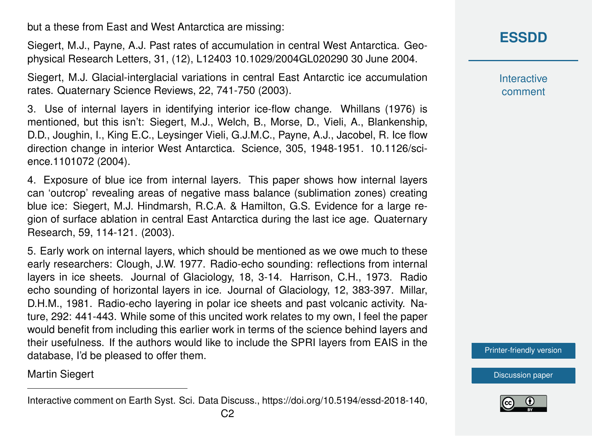but a these from East and West Antarctica are missing:

Siegert, M.J., Payne, A.J. Past rates of accumulation in central West Antarctica. Geophysical Research Letters, 31, (12), L12403 10.1029/2004GL020290 30 June 2004.

Siegert, M.J. Glacial-interglacial variations in central East Antarctic ice accumulation rates. Quaternary Science Reviews, 22, 741-750 (2003).

3. Use of internal layers in identifying interior ice-flow change. Whillans (1976) is mentioned, but this isn't: Siegert, M.J., Welch, B., Morse, D., Vieli, A., Blankenship, D.D., Joughin, I., King E.C., Leysinger Vieli, G.J.M.C., Payne, A.J., Jacobel, R. Ice flow direction change in interior West Antarctica. Science, 305, 1948-1951. 10.1126/science.1101072 (2004).

4. Exposure of blue ice from internal layers. This paper shows how internal layers can 'outcrop' revealing areas of negative mass balance (sublimation zones) creating blue ice: Siegert, M.J. Hindmarsh, R.C.A. & Hamilton, G.S. Evidence for a large region of surface ablation in central East Antarctica during the last ice age. Quaternary Research, 59, 114-121. (2003).

5. Early work on internal layers, which should be mentioned as we owe much to these early researchers: Clough, J.W. 1977. Radio-echo sounding: reflections from internal layers in ice sheets. Journal of Glaciology, 18, 3-14. Harrison, C.H., 1973. Radio echo sounding of horizontal layers in ice. Journal of Glaciology, 12, 383-397. Millar, D.H.M., 1981. Radio-echo layering in polar ice sheets and past volcanic activity. Nature, 292: 441-443. While some of this uncited work relates to my own, I feel the paper would benefit from including this earlier work in terms of the science behind layers and their usefulness. If the authors would like to include the SPRI layers from EAIS in the database, I'd be pleased to offer them.

Martin Siegert

**Interactive** comment

[Printer-friendly version](https://www.earth-syst-sci-data-discuss.net/essd-2018-140/essd-2018-140-RC1-print.pdf)

[Discussion paper](https://www.earth-syst-sci-data-discuss.net/essd-2018-140)



Interactive comment on Earth Syst. Sci. Data Discuss., https://doi.org/10.5194/essd-2018-140,